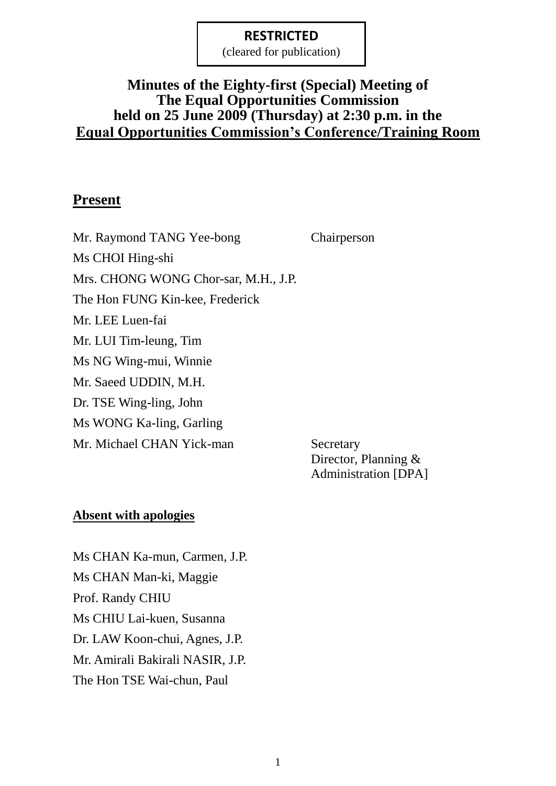(cleared for publication)

# **Minutes of the Eighty-first (Special) Meeting of The Equal Opportunities Commission held on 25 June 2009 (Thursday) at 2:30 p.m. in the Equal Opportunities Commission's Conference/Training Room**

### **Present**

Mr. Raymond TANG Yee-bong Chairperson Ms CHOI Hing-shi Mrs. CHONG WONG Chor-sar, M.H., J.P. The Hon FUNG Kin-kee, Frederick Mr. LEE Luen-fai Mr. LUI Tim-leung, Tim Ms NG Wing-mui, Winnie Mr. Saeed UDDIN, M.H. Dr. TSE Wing-ling, John Ms WONG Ka-ling, Garling Mr. Michael CHAN Yick-man Secretary

Director, Planning & Administration [DPA]

### **Absent with apologies**

Ms CHAN Ka-mun, Carmen, J.P. Ms CHAN Man-ki, Maggie Prof. Randy CHIU Ms CHIU Lai-kuen, Susanna Dr. LAW Koon-chui, Agnes, J.P. Mr. Amirali Bakirali NASIR, J.P. The Hon TSE Wai-chun, Paul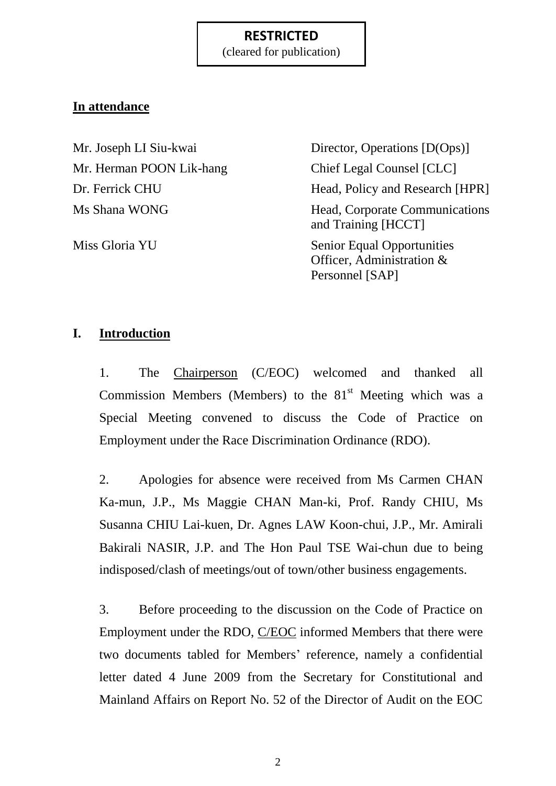(cleared for publication)

# **In attendance**

Mr. Herman POON Lik-hang Chief Legal Counsel [CLC]

Mr. Joseph LI Siu-kwai Director, Operations [D(Ops)] Dr. Ferrick CHU Head, Policy and Research [HPR] Ms Shana WONG Head, Corporate Communications and Training [HCCT] Miss Gloria YU Senior Equal Opportunities Officer, Administration & Personnel [SAP]

# **I. Introduction**

1. The Chairperson (C/EOC) welcomed and thanked all Commission Members (Members) to the  $81<sup>st</sup>$  Meeting which was a Special Meeting convened to discuss the Code of Practice on Employment under the Race Discrimination Ordinance (RDO).

2. Apologies for absence were received from Ms Carmen CHAN Ka-mun, J.P., Ms Maggie CHAN Man-ki, Prof. Randy CHIU, Ms Susanna CHIU Lai-kuen, Dr. Agnes LAW Koon-chui, J.P., Mr. Amirali Bakirali NASIR, J.P. and The Hon Paul TSE Wai-chun due to being indisposed/clash of meetings/out of town/other business engagements.

3. Before proceeding to the discussion on the Code of Practice on Employment under the RDO, C/EOC informed Members that there were two documents tabled for Members' reference, namely a confidential letter dated 4 June 2009 from the Secretary for Constitutional and Mainland Affairs on Report No. 52 of the Director of Audit on the EOC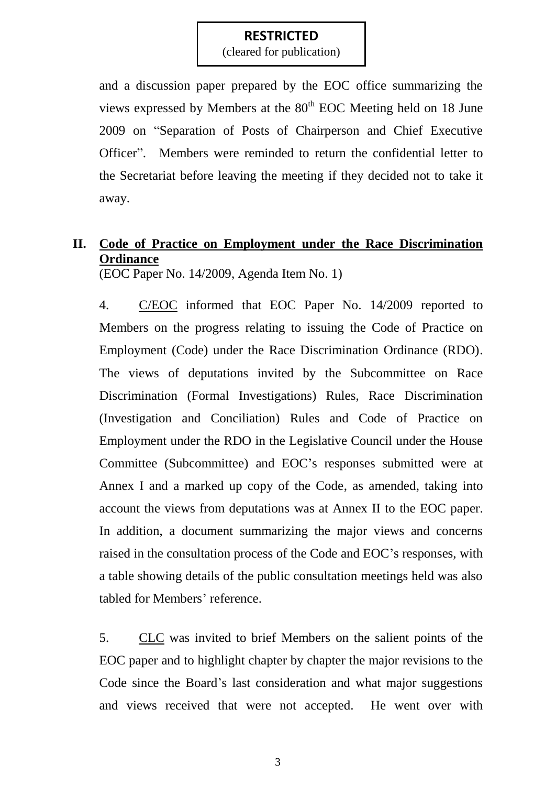(cleared for publication)

and a discussion paper prepared by the EOC office summarizing the views expressed by Members at the  $80<sup>th</sup>$  EOC Meeting held on 18 June 2009 on "Separation of Posts of Chairperson and Chief Executive Officer". Members were reminded to return the confidential letter to the Secretariat before leaving the meeting if they decided not to take it away.

# **II. Code of Practice on Employment under the Race Discrimination Ordinance**

(EOC Paper No. 14/2009, Agenda Item No. 1)

4. C/EOC informed that EOC Paper No. 14/2009 reported to Members on the progress relating to issuing the Code of Practice on Employment (Code) under the Race Discrimination Ordinance (RDO). The views of deputations invited by the Subcommittee on Race Discrimination (Formal Investigations) Rules, Race Discrimination (Investigation and Conciliation) Rules and Code of Practice on Employment under the RDO in the Legislative Council under the House Committee (Subcommittee) and EOC's responses submitted were at Annex I and a marked up copy of the Code, as amended, taking into account the views from deputations was at Annex II to the EOC paper. In addition, a document summarizing the major views and concerns raised in the consultation process of the Code and EOC's responses, with a table showing details of the public consultation meetings held was also tabled for Members' reference.

5. CLC was invited to brief Members on the salient points of the EOC paper and to highlight chapter by chapter the major revisions to the Code since the Board's last consideration and what major suggestions and views received that were not accepted. He went over with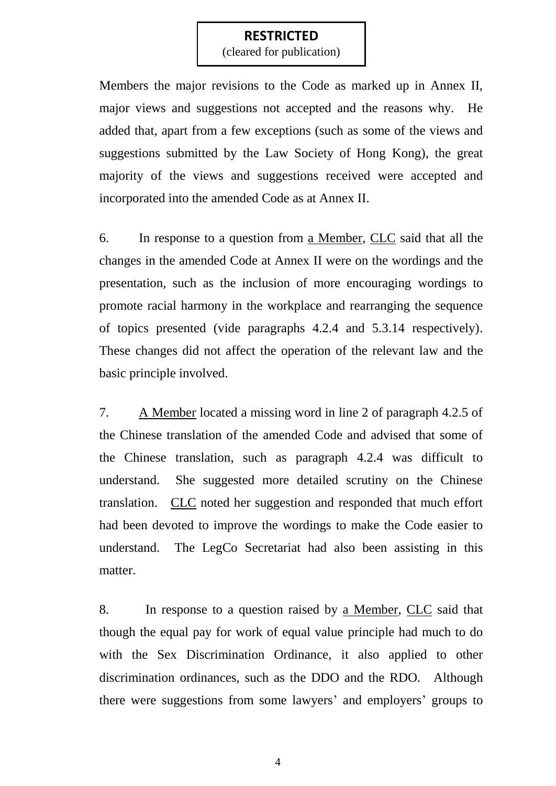(cleared for publication)

Members the major revisions to the Code as marked up in Annex II, major views and suggestions not accepted and the reasons why. He added that, apart from a few exceptions (such as some of the views and suggestions submitted by the Law Society of Hong Kong), the great majority of the views and suggestions received were accepted and incorporated into the amended Code as at Annex II.

6. In response to a question from a Member, CLC said that all the changes in the amended Code at Annex II were on the wordings and the presentation, such as the inclusion of more encouraging wordings to promote racial harmony in the workplace and rearranging the sequence of topics presented (vide paragraphs 4.2.4 and 5.3.14 respectively). These changes did not affect the operation of the relevant law and the basic principle involved.

7. A Member located a missing word in line 2 of paragraph 4.2.5 of the Chinese translation of the amended Code and advised that some of the Chinese translation, such as paragraph 4.2.4 was difficult to understand. She suggested more detailed scrutiny on the Chinese translation. CLC noted her suggestion and responded that much effort had been devoted to improve the wordings to make the Code easier to understand. The LegCo Secretariat had also been assisting in this matter.

8. In response to a question raised by a Member, CLC said that though the equal pay for work of equal value principle had much to do with the Sex Discrimination Ordinance, it also applied to other discrimination ordinances, such as the DDO and the RDO. Although there were suggestions from some lawyers' and employers' groups to

4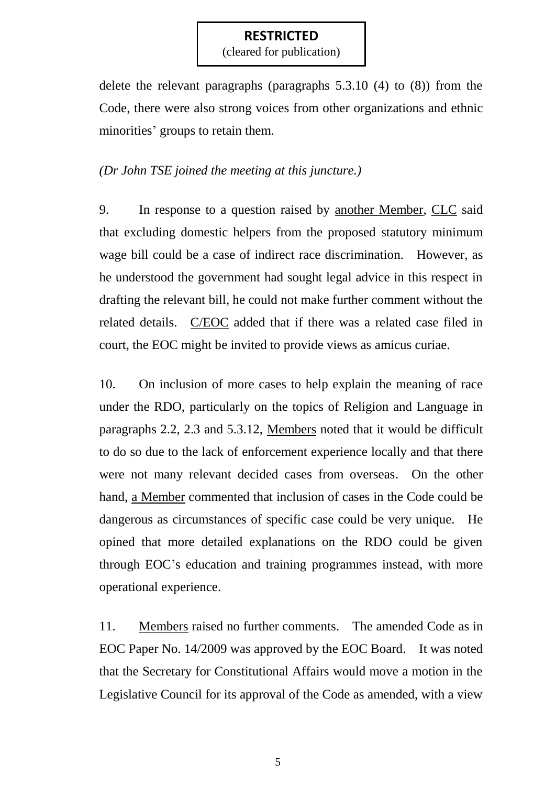(cleared for publication)

delete the relevant paragraphs (paragraphs 5.3.10 (4) to (8)) from the Code, there were also strong voices from other organizations and ethnic minorities' groups to retain them.

### *(Dr John TSE joined the meeting at this juncture.)*

9. In response to a question raised by another Member, CLC said that excluding domestic helpers from the proposed statutory minimum wage bill could be a case of indirect race discrimination. However, as he understood the government had sought legal advice in this respect in drafting the relevant bill, he could not make further comment without the related details. C/EOC added that if there was a related case filed in court, the EOC might be invited to provide views as amicus curiae.

10. On inclusion of more cases to help explain the meaning of race under the RDO, particularly on the topics of Religion and Language in paragraphs 2.2, 2.3 and 5.3.12, Members noted that it would be difficult to do so due to the lack of enforcement experience locally and that there were not many relevant decided cases from overseas. On the other hand, a Member commented that inclusion of cases in the Code could be dangerous as circumstances of specific case could be very unique. He opined that more detailed explanations on the RDO could be given through EOC's education and training programmes instead, with more operational experience.

11. Members raised no further comments. The amended Code as in EOC Paper No. 14/2009 was approved by the EOC Board. It was noted that the Secretary for Constitutional Affairs would move a motion in the Legislative Council for its approval of the Code as amended, with a view